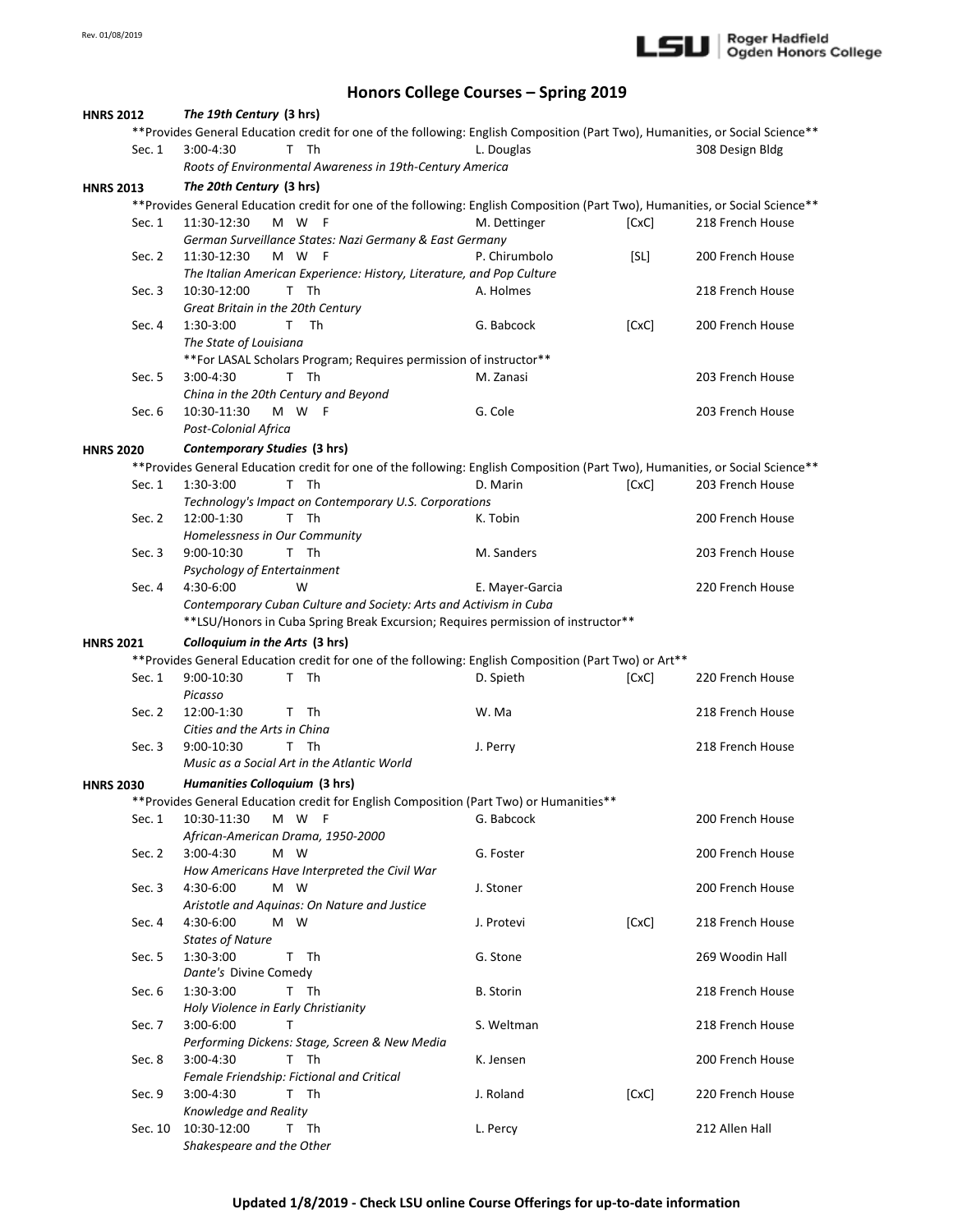

## **Honors College Courses – Spring 2019**

| The 19th Century (3 hrs)<br><b>HNRS 2012</b><br>**Provides General Education credit for one of the following: English Composition (Part Two), Humanities, or Social Science** |         |                                             |                    |                                                          |                                                                                                                                |       |                  |
|-------------------------------------------------------------------------------------------------------------------------------------------------------------------------------|---------|---------------------------------------------|--------------------|----------------------------------------------------------|--------------------------------------------------------------------------------------------------------------------------------|-------|------------------|
|                                                                                                                                                                               |         |                                             |                    |                                                          |                                                                                                                                |       |                  |
|                                                                                                                                                                               | Sec. 1  | $3:00-4:30$                                 | T Th               |                                                          | L. Douglas                                                                                                                     |       | 308 Design Bldg  |
|                                                                                                                                                                               |         |                                             |                    | Roots of Environmental Awareness in 19th-Century America |                                                                                                                                |       |                  |
| <b>HNRS 2013</b>                                                                                                                                                              |         | The 20th Century (3 hrs)                    |                    |                                                          |                                                                                                                                |       |                  |
|                                                                                                                                                                               |         |                                             |                    |                                                          | ** Provides General Education credit for one of the following: English Composition (Part Two), Humanities, or Social Science** |       |                  |
|                                                                                                                                                                               | Sec. 1  | 11:30-12:30                                 | M W F              |                                                          | M. Dettinger                                                                                                                   | [CxC] | 218 French House |
|                                                                                                                                                                               |         |                                             |                    | German Surveillance States: Nazi Germany & East Germany  |                                                                                                                                |       |                  |
|                                                                                                                                                                               | Sec. 2  | 11:30-12:30                                 | M W<br>- F         |                                                          | P. Chirumbolo                                                                                                                  | [SL]  | 200 French House |
|                                                                                                                                                                               |         |                                             |                    |                                                          | The Italian American Experience: History, Literature, and Pop Culture                                                          |       |                  |
|                                                                                                                                                                               | Sec. 3  | 10:30-12:00                                 | T Th               |                                                          | A. Holmes                                                                                                                      |       | 218 French House |
|                                                                                                                                                                               |         | Great Britain in the 20th Century           |                    |                                                          |                                                                                                                                |       |                  |
|                                                                                                                                                                               | Sec. 4  | 1:30-3:00                                   | - Th<br>T.         |                                                          | G. Babcock                                                                                                                     | [CxC] | 200 French House |
|                                                                                                                                                                               |         | The State of Louisiana                      |                    |                                                          |                                                                                                                                |       |                  |
|                                                                                                                                                                               |         |                                             |                    |                                                          | ** For LASAL Scholars Program; Requires permission of instructor**                                                             |       |                  |
|                                                                                                                                                                               | Sec. 5  | 3:00-4:30                                   | T Th               |                                                          | M. Zanasi                                                                                                                      |       | 203 French House |
|                                                                                                                                                                               |         | China in the 20th Century and Beyond        |                    |                                                          |                                                                                                                                |       |                  |
|                                                                                                                                                                               | Sec. 6  | 10:30-11:30                                 | M W F              |                                                          | G. Cole                                                                                                                        |       | 203 French House |
|                                                                                                                                                                               |         | Post-Colonial Africa                        |                    |                                                          |                                                                                                                                |       |                  |
|                                                                                                                                                                               |         |                                             |                    |                                                          |                                                                                                                                |       |                  |
| <b>HNRS 2020</b>                                                                                                                                                              |         | Contemporary Studies (3 hrs)                |                    |                                                          |                                                                                                                                |       |                  |
|                                                                                                                                                                               |         |                                             |                    |                                                          | **Provides General Education credit for one of the following: English Composition (Part Two), Humanities, or Social Science**  |       |                  |
|                                                                                                                                                                               | Sec. 1  | 1:30-3:00                                   | $\mathsf{T}$<br>Th |                                                          | D. Marin                                                                                                                       | [CxC] | 203 French House |
|                                                                                                                                                                               |         |                                             |                    | Technology's Impact on Contemporary U.S. Corporations    |                                                                                                                                |       |                  |
|                                                                                                                                                                               | Sec. 2  | 12:00-1:30                                  | T Th               |                                                          | K. Tobin                                                                                                                       |       | 200 French House |
|                                                                                                                                                                               |         | Homelessness in Our Community               |                    |                                                          |                                                                                                                                |       |                  |
|                                                                                                                                                                               | Sec. 3  | 9:00-10:30                                  | T Th               |                                                          | M. Sanders                                                                                                                     |       | 203 French House |
|                                                                                                                                                                               |         | Psychology of Entertainment                 |                    |                                                          |                                                                                                                                |       |                  |
|                                                                                                                                                                               | Sec. 4  | 4:30-6:00                                   | W                  |                                                          | E. Mayer-Garcia                                                                                                                |       | 220 French House |
|                                                                                                                                                                               |         |                                             |                    |                                                          | Contemporary Cuban Culture and Society: Arts and Activism in Cuba                                                              |       |                  |
|                                                                                                                                                                               |         |                                             |                    |                                                          |                                                                                                                                |       |                  |
|                                                                                                                                                                               |         |                                             |                    |                                                          |                                                                                                                                |       |                  |
|                                                                                                                                                                               |         |                                             |                    |                                                          | **LSU/Honors in Cuba Spring Break Excursion; Requires permission of instructor**                                               |       |                  |
| <b>HNRS 2021</b>                                                                                                                                                              |         | Colloquium in the Arts (3 hrs)              |                    |                                                          |                                                                                                                                |       |                  |
|                                                                                                                                                                               |         |                                             |                    |                                                          | ** Provides General Education credit for one of the following: English Composition (Part Two) or Art**                         |       |                  |
|                                                                                                                                                                               | Sec. 1  | 9:00-10:30                                  | Th<br>T.           |                                                          | D. Spieth                                                                                                                      | [CxC] | 220 French House |
|                                                                                                                                                                               |         | Picasso                                     |                    |                                                          |                                                                                                                                |       |                  |
|                                                                                                                                                                               | Sec. 2  | 12:00-1:30                                  | T Th               |                                                          | W. Ma                                                                                                                          |       | 218 French House |
|                                                                                                                                                                               |         | Cities and the Arts in China                |                    |                                                          |                                                                                                                                |       |                  |
|                                                                                                                                                                               | Sec. 3  | 9:00-10:30                                  | T Th               |                                                          | J. Perry                                                                                                                       |       | 218 French House |
|                                                                                                                                                                               |         | Music as a Social Art in the Atlantic World |                    |                                                          |                                                                                                                                |       |                  |
| <b>HNRS 2030</b>                                                                                                                                                              |         | Humanities Colloquium (3 hrs)               |                    |                                                          |                                                                                                                                |       |                  |
|                                                                                                                                                                               |         |                                             |                    |                                                          |                                                                                                                                |       |                  |
|                                                                                                                                                                               | Sec. 1  | 10:30-11:30                                 | M W F              |                                                          | **Provides General Education credit for English Composition (Part Two) or Humanities**<br>G. Babcock                           |       | 200 French House |
|                                                                                                                                                                               |         |                                             |                    |                                                          |                                                                                                                                |       |                  |
|                                                                                                                                                                               |         | African-American Drama, 1950-2000           |                    |                                                          |                                                                                                                                |       |                  |
|                                                                                                                                                                               | Sec. 2  | $3:00 - 4:30$                               | M W                |                                                          | G. Foster                                                                                                                      |       | 200 French House |
|                                                                                                                                                                               |         |                                             |                    | How Americans Have Interpreted the Civil War             |                                                                                                                                |       |                  |
|                                                                                                                                                                               | Sec. 3  | 4:30-6:00                                   | M W                |                                                          | J. Stoner                                                                                                                      |       | 200 French House |
|                                                                                                                                                                               |         |                                             |                    | Aristotle and Aguinas: On Nature and Justice             |                                                                                                                                |       |                  |
|                                                                                                                                                                               | Sec. 4  | 4:30-6:00                                   | M W                |                                                          | J. Protevi                                                                                                                     | [CxC] | 218 French House |
|                                                                                                                                                                               |         | <b>States of Nature</b>                     |                    |                                                          |                                                                                                                                |       |                  |
|                                                                                                                                                                               | Sec. 5  | 1:30-3:00                                   | T Th               |                                                          | G. Stone                                                                                                                       |       | 269 Woodin Hall  |
|                                                                                                                                                                               |         | Dante's Divine Comedy                       |                    |                                                          |                                                                                                                                |       |                  |
|                                                                                                                                                                               | Sec. 6  | 1:30-3:00                                   | T Th               |                                                          | <b>B.</b> Storin                                                                                                               |       | 218 French House |
|                                                                                                                                                                               |         | Holy Violence in Early Christianity         |                    |                                                          |                                                                                                                                |       |                  |
|                                                                                                                                                                               | Sec. 7  | 3:00-6:00                                   | Τ                  |                                                          | S. Weltman                                                                                                                     |       | 218 French House |
|                                                                                                                                                                               |         |                                             |                    | Performing Dickens: Stage, Screen & New Media            |                                                                                                                                |       |                  |
|                                                                                                                                                                               | Sec. 8  | 3:00-4:30                                   | T Th               |                                                          | K. Jensen                                                                                                                      |       | 200 French House |
|                                                                                                                                                                               |         | Female Friendship: Fictional and Critical   |                    |                                                          |                                                                                                                                |       |                  |
|                                                                                                                                                                               | Sec. 9  | $3:00 - 4:30$                               | T Th               |                                                          | J. Roland                                                                                                                      | [CxC] | 220 French House |
|                                                                                                                                                                               |         | Knowledge and Reality                       |                    |                                                          |                                                                                                                                |       |                  |
|                                                                                                                                                                               | Sec. 10 | 10:30-12:00                                 | T Th               |                                                          | L. Percy                                                                                                                       |       | 212 Allen Hall   |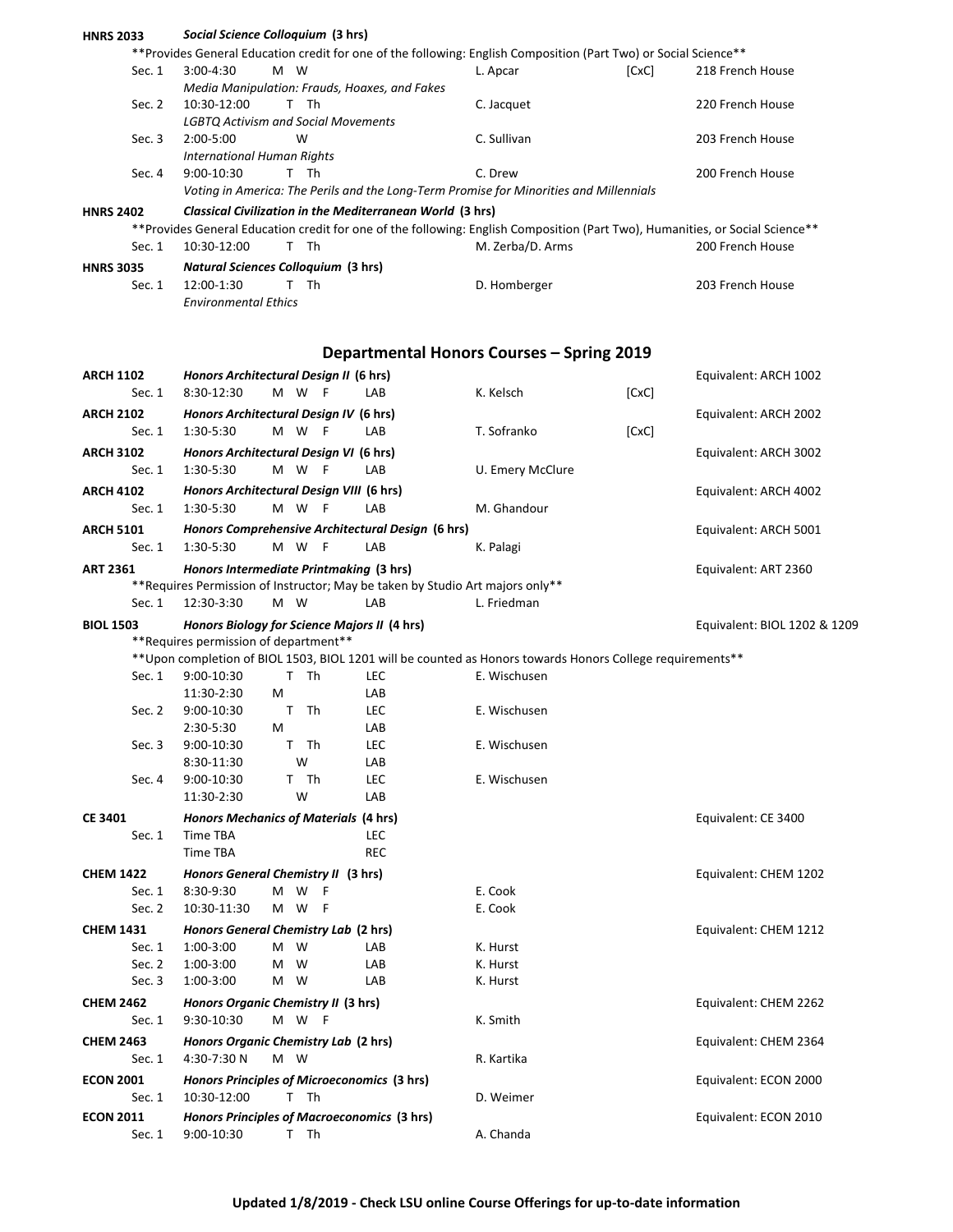| <b>HNRS 2033</b> | Social Science Colloquium (3 hrs)                                                                                             |                                                  |       |                              |
|------------------|-------------------------------------------------------------------------------------------------------------------------------|--------------------------------------------------|-------|------------------------------|
|                  | ** Provides General Education credit for one of the following: English Composition (Part Two) or Social Science**             |                                                  |       |                              |
| Sec. 1           | $3:00-4:30$<br>M W                                                                                                            | L. Apcar                                         | [CxC] | 218 French House             |
|                  | Media Manipulation: Frauds, Hoaxes, and Fakes                                                                                 |                                                  |       |                              |
| Sec. 2           | 10:30-12:00<br>T Th                                                                                                           | C. Jacquet                                       |       | 220 French House             |
|                  | <b>LGBTQ Activism and Social Movements</b>                                                                                    |                                                  |       |                              |
| Sec. 3           | 2:00-5:00<br>W                                                                                                                | C. Sullivan                                      |       | 203 French House             |
|                  | <b>International Human Rights</b>                                                                                             | C. Drew                                          |       |                              |
| Sec. 4           | 9:00-10:30<br>T Th                                                                                                            |                                                  |       | 200 French House             |
|                  | Voting in America: The Perils and the Long-Term Promise for Minorities and Millennials                                        |                                                  |       |                              |
| <b>HNRS 2402</b> | Classical Civilization in the Mediterranean World (3 hrs)                                                                     |                                                  |       |                              |
|                  | **Provides General Education credit for one of the following: English Composition (Part Two), Humanities, or Social Science** |                                                  |       |                              |
| Sec. 1           | T Th<br>10:30-12:00                                                                                                           | M. Zerba/D. Arms                                 |       | 200 French House             |
| <b>HNRS 3035</b> | <b>Natural Sciences Colloquium (3 hrs)</b>                                                                                    |                                                  |       |                              |
| Sec. $1$         | 12:00-1:30<br>T Th                                                                                                            | D. Homberger                                     |       | 203 French House             |
|                  | <b>Environmental Ethics</b>                                                                                                   |                                                  |       |                              |
|                  |                                                                                                                               |                                                  |       |                              |
|                  |                                                                                                                               | <b>Departmental Honors Courses - Spring 2019</b> |       |                              |
|                  |                                                                                                                               |                                                  |       |                              |
| <b>ARCH 1102</b> | Honors Architectural Design II (6 hrs)                                                                                        |                                                  |       | Equivalent: ARCH 1002        |
| Sec. $1$         | 8:30-12:30<br>M W F<br><b>LAB</b>                                                                                             | K. Kelsch                                        | [CxC] |                              |
| <b>ARCH 2102</b> | Honors Architectural Design IV (6 hrs)                                                                                        |                                                  |       | Equivalent: ARCH 2002        |
| Sec. 1           | M W F<br>1:30-5:30<br><b>LAB</b>                                                                                              | T. Sofranko                                      | [CxC] |                              |
| <b>ARCH 3102</b> | Honors Architectural Design VI (6 hrs)                                                                                        |                                                  |       | Equivalent: ARCH 3002        |
| Sec. 1           | M W F<br>1:30-5:30<br>LAB                                                                                                     | U. Emery McClure                                 |       |                              |
|                  | Honors Architectural Design VIII (6 hrs)                                                                                      |                                                  |       |                              |
| <b>ARCH 4102</b> |                                                                                                                               |                                                  |       | Equivalent: ARCH 4002        |
| Sec. $1$         | 1:30-5:30<br>M W<br>LAB<br>- F                                                                                                | M. Ghandour                                      |       |                              |
| <b>ARCH 5101</b> | Honors Comprehensive Architectural Design (6 hrs)                                                                             |                                                  |       | Equivalent: ARCH 5001        |
| Sec. $1$         | 1:30-5:30<br>M W<br>F<br>LAB                                                                                                  | K. Palagi                                        |       |                              |
| <b>ART 2361</b>  | Honors Intermediate Printmaking (3 hrs)                                                                                       |                                                  |       | Equivalent: ART 2360         |
|                  | ** Requires Permission of Instructor; May be taken by Studio Art majors only**                                                |                                                  |       |                              |
| Sec. 1           | 12:30-3:30<br>M W<br>LAB                                                                                                      | L. Friedman                                      |       |                              |
| <b>BIOL 1503</b> | Honors Biology for Science Majors II (4 hrs)                                                                                  |                                                  |       | Equivalent: BIOL 1202 & 1209 |
|                  | ** Requires permission of department**                                                                                        |                                                  |       |                              |
|                  | ** Upon completion of BIOL 1503, BIOL 1201 will be counted as Honors towards Honors College requirements**                    |                                                  |       |                              |
| Sec. 1           | T Th<br>9:00-10:30<br><b>LEC</b>                                                                                              | E. Wischusen                                     |       |                              |
|                  | 11:30-2:30<br>M<br>LAB                                                                                                        |                                                  |       |                              |
| Sec. 2           | T Th<br>9:00-10:30<br><b>LEC</b>                                                                                              | E. Wischusen                                     |       |                              |
|                  | 2:30-5:30<br>M<br>LAB                                                                                                         |                                                  |       |                              |
| Sec. 3           | 9:00-10:30<br>T Th<br>LEC                                                                                                     | E. Wischusen                                     |       |                              |
|                  | W<br>LAB<br>8:30-11:30                                                                                                        |                                                  |       |                              |
| Sec. 4           | T Th<br>LEC<br>9:00-10:30                                                                                                     | E. Wischusen                                     |       |                              |
|                  | W<br>11:30-2:30<br>LAB                                                                                                        |                                                  |       |                              |
| <b>CE 3401</b>   | <b>Honors Mechanics of Materials (4 hrs)</b>                                                                                  |                                                  |       | Equivalent: CE 3400          |
| Sec. 1           | Time TBA<br>LEC                                                                                                               |                                                  |       |                              |
|                  | <b>REC</b><br><b>Time TBA</b>                                                                                                 |                                                  |       |                              |
|                  |                                                                                                                               |                                                  |       |                              |
| <b>CHEM 1422</b> | Honors General Chemistry II (3 hrs)                                                                                           |                                                  |       | Equivalent: CHEM 1202        |
| Sec. 1           | M W<br>8:30-9:30<br>F                                                                                                         | E. Cook                                          |       |                              |
| Sec. 2           | 10:30-11:30<br>M W<br>F                                                                                                       | E. Cook                                          |       |                              |
| <b>CHEM 1431</b> | Honors General Chemistry Lab (2 hrs)                                                                                          |                                                  |       | Equivalent: CHEM 1212        |
| Sec. 1           | M W<br>1:00-3:00<br>LAB                                                                                                       | K. Hurst                                         |       |                              |
| Sec. 2           | 1:00-3:00<br>M W<br>LAB                                                                                                       | K. Hurst                                         |       |                              |
| Sec. 3           | 1:00-3:00<br>M W<br>LAB                                                                                                       | K. Hurst                                         |       |                              |
| <b>CHEM 2462</b> | Honors Organic Chemistry II (3 hrs)                                                                                           |                                                  |       | Equivalent: CHEM 2262        |
| Sec. 1           | 9:30-10:30<br>M W F                                                                                                           | K. Smith                                         |       |                              |
|                  |                                                                                                                               |                                                  |       |                              |
| <b>CHEM 2463</b> | Honors Organic Chemistry Lab (2 hrs)<br>M W                                                                                   |                                                  |       | Equivalent: CHEM 2364        |
| Sec. 1           | 4:30-7:30 N                                                                                                                   | R. Kartika                                       |       |                              |
| <b>ECON 2001</b> | Honors Principles of Microeconomics (3 hrs)                                                                                   |                                                  |       | Equivalent: ECON 2000        |
| Sec. 1           | T Th<br>10:30-12:00                                                                                                           | D. Weimer                                        |       |                              |
| <b>ECON 2011</b> | Honors Principles of Macroeconomics (3 hrs)                                                                                   |                                                  |       | Equivalent: ECON 2010        |
| Sec. 1           | 9:00-10:30<br>T Th                                                                                                            | A. Chanda                                        |       |                              |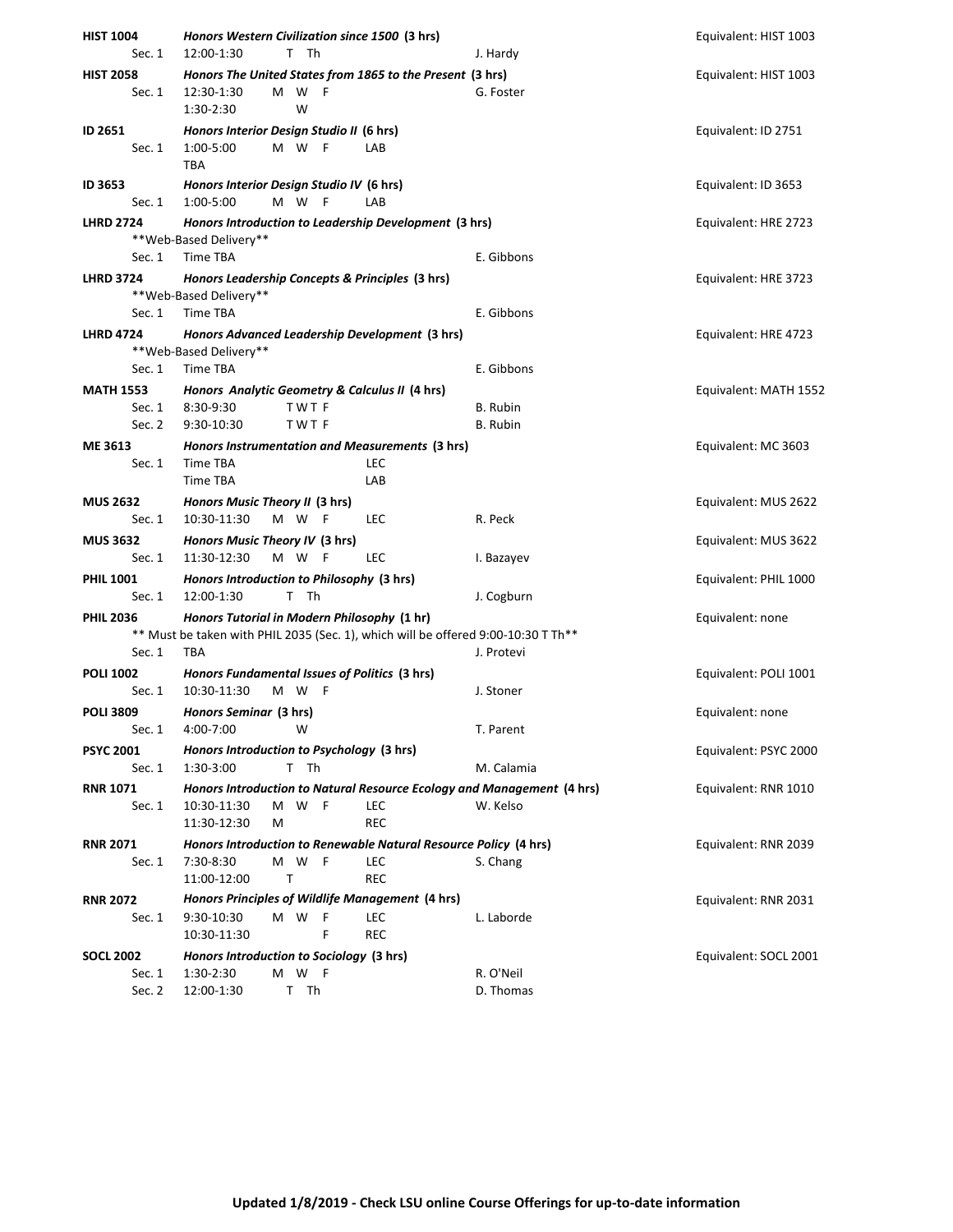| <b>HIST 1004</b>             | Honors Western Civilization since 1500 (3 hrs)                                                                                  |                        | Equivalent: HIST 1003 |
|------------------------------|---------------------------------------------------------------------------------------------------------------------------------|------------------------|-----------------------|
| Sec. 1                       | 12:00-1:30<br>т<br>Th                                                                                                           | J. Hardy               |                       |
| <b>HIST 2058</b><br>Sec. 1   | Honors The United States from 1865 to the Present (3 hrs)<br>12:30-1:30<br>M W F<br>1:30-2:30<br>W                              | G. Foster              | Equivalent: HIST 1003 |
| ID 2651<br>Sec. 1            | Honors Interior Design Studio II (6 hrs)<br>1:00-5:00<br>M W F<br>LAB<br><b>TBA</b>                                             |                        | Equivalent: ID 2751   |
| ID 3653<br>Sec. 1            | Honors Interior Design Studio IV (6 hrs)<br>1:00-5:00<br>M W F<br>LAB                                                           |                        | Equivalent: ID 3653   |
| <b>LHRD 2724</b>             | Honors Introduction to Leadership Development (3 hrs)                                                                           |                        | Equivalent: HRE 2723  |
|                              | ** Web-Based Delivery**                                                                                                         |                        |                       |
| Sec. 1                       | Time TBA                                                                                                                        | E. Gibbons             |                       |
| <b>LHRD 3724</b>             | Honors Leadership Concepts & Principles (3 hrs)<br>** Web-Based Delivery**                                                      | E. Gibbons             | Equivalent: HRE 3723  |
| Sec. 1                       | Time TBA                                                                                                                        |                        |                       |
| <b>LHRD 4724</b>             | Honors Advanced Leadership Development (3 hrs)<br>** Web-Based Delivery**                                                       |                        | Equivalent: HRE 4723  |
| Sec. 1                       | Time TBA                                                                                                                        | E. Gibbons             |                       |
| <b>MATH 1553</b><br>Sec. 1   | Honors Analytic Geometry & Calculus II (4 hrs)<br>8:30-9:30<br>TWT F                                                            | B. Rubin               | Equivalent: MATH 1552 |
| Sec. 2                       | 9:30-10:30<br>TWT F                                                                                                             | B. Rubin               |                       |
| ME 3613<br>Sec. 1            | Honors Instrumentation and Measurements (3 hrs)<br>Time TBA<br>LEC<br>Time TBA<br>LAB                                           |                        | Equivalent: MC 3603   |
| <b>MUS 2632</b>              | Honors Music Theory II (3 hrs)                                                                                                  |                        | Equivalent: MUS 2622  |
| Sec. 1                       | 10:30-11:30<br>M W F<br><b>LEC</b>                                                                                              | R. Peck                |                       |
| <b>MUS 3632</b>              | Honors Music Theory IV (3 hrs)                                                                                                  |                        | Equivalent: MUS 3622  |
| Sec. 1                       | 11:30-12:30<br>M W F<br><b>LEC</b>                                                                                              | I. Bazayev             |                       |
| <b>PHIL 1001</b><br>Sec. 1   | Honors Introduction to Philosophy (3 hrs)<br>T Th<br>12:00-1:30                                                                 | J. Cogburn             | Equivalent: PHIL 1000 |
| <b>PHIL 2036</b>             | Honors Tutorial in Modern Philosophy (1 hr)                                                                                     |                        | Equivalent: none      |
|                              | ** Must be taken with PHIL 2035 (Sec. 1), which will be offered 9:00-10:30 T Th**                                               |                        |                       |
| Sec. 1                       | <b>TBA</b>                                                                                                                      | J. Protevi             |                       |
| <b>POLI 1002</b><br>Sec. $1$ | Honors Fundamental Issues of Politics (3 hrs)<br>10:30-11:30<br>M W F                                                           | J. Stoner              | Equivalent: POLI 1001 |
| <b>POLI 3809</b>             | Honors Seminar (3 hrs)                                                                                                          |                        | Equivalent: none      |
| Sec. 1                       | W<br>4:00-7:00                                                                                                                  | T. Parent              |                       |
| <b>PSYC 2001</b>             | Honors Introduction to Psychology (3 hrs)                                                                                       |                        | Equivalent: PSYC 2000 |
| Sec. 1                       | 1:30-3:00<br>T Th                                                                                                               | M. Calamia             |                       |
| <b>RNR 1071</b>              | Honors Introduction to Natural Resource Ecology and Management (4 hrs)                                                          |                        | Equivalent: RNR 1010  |
| Sec. 1                       | 10:30-11:30<br>M W F<br>LEC<br><b>REC</b><br>11:30-12:30<br>М                                                                   | W. Kelso               |                       |
| <b>RNR 2071</b><br>Sec. $1$  | Honors Introduction to Renewable Natural Resource Policy (4 hrs)<br>7:30-8:30<br>M W F<br>LEC<br>11:00-12:00<br>Τ<br><b>REC</b> | S. Chang               | Equivalent: RNR 2039  |
| <b>RNR 2072</b>              | Honors Principles of Wildlife Management (4 hrs)                                                                                |                        | Equivalent: RNR 2031  |
| Sec. $1$                     | 9:30-10:30<br>M W<br>LEC<br>- F<br>F<br><b>REC</b><br>10:30-11:30                                                               | L. Laborde             |                       |
| <b>SOCL 2002</b>             | Honors Introduction to Sociology (3 hrs)                                                                                        |                        | Equivalent: SOCL 2001 |
| Sec. 1<br>Sec. 2             | M W F<br>1:30-2:30<br>12:00-1:30<br>T Th                                                                                        | R. O'Neil<br>D. Thomas |                       |